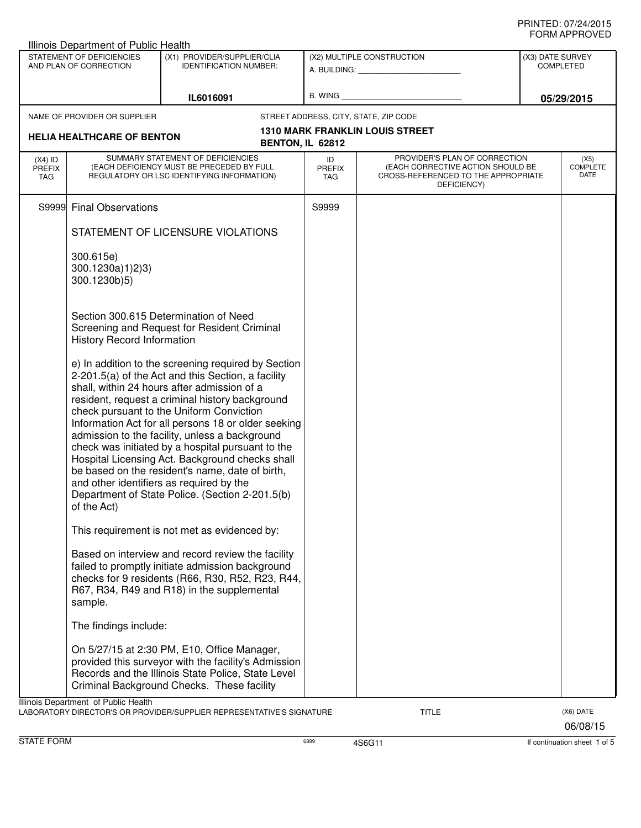|                                          | STATEMENT OF DEFICIENCIES<br>AND PLAN OF CORRECTION | (X1) PROVIDER/SUPPLIER/CLIA<br><b>IDENTIFICATION NUMBER:</b>                                                                                                                                                                                                                                                                                                                                                                                                                                                                                                                                                               |                                       | (X2) MULTIPLE CONSTRUCTION                                                                                               |  | (X3) DATE SURVEY<br><b>COMPLETED</b> |  |
|------------------------------------------|-----------------------------------------------------|----------------------------------------------------------------------------------------------------------------------------------------------------------------------------------------------------------------------------------------------------------------------------------------------------------------------------------------------------------------------------------------------------------------------------------------------------------------------------------------------------------------------------------------------------------------------------------------------------------------------------|---------------------------------------|--------------------------------------------------------------------------------------------------------------------------|--|--------------------------------------|--|
|                                          |                                                     | IL6016091                                                                                                                                                                                                                                                                                                                                                                                                                                                                                                                                                                                                                  |                                       |                                                                                                                          |  | 05/29/2015                           |  |
| NAME OF PROVIDER OR SUPPLIER             |                                                     |                                                                                                                                                                                                                                                                                                                                                                                                                                                                                                                                                                                                                            | STREET ADDRESS, CITY, STATE, ZIP CODE |                                                                                                                          |  |                                      |  |
|                                          | <b>HELIA HEALTHCARE OF BENTON</b>                   |                                                                                                                                                                                                                                                                                                                                                                                                                                                                                                                                                                                                                            |                                       | <b>1310 MARK FRANKLIN LOUIS STREET</b>                                                                                   |  |                                      |  |
|                                          |                                                     |                                                                                                                                                                                                                                                                                                                                                                                                                                                                                                                                                                                                                            | BENTON, IL 62812                      |                                                                                                                          |  |                                      |  |
| $(X4)$ ID<br><b>PREFIX</b><br><b>TAG</b> |                                                     | SUMMARY STATEMENT OF DEFICIENCIES<br>(EACH DEFICIENCY MUST BE PRECEDED BY FULL<br>REGULATORY OR LSC IDENTIFYING INFORMATION)                                                                                                                                                                                                                                                                                                                                                                                                                                                                                               | ID<br>PREFIX<br>TAG                   | PROVIDER'S PLAN OF CORRECTION<br>(EACH CORRECTIVE ACTION SHOULD BE<br>CROSS-REFERENCED TO THE APPROPRIATE<br>DEFICIENCY) |  | (X5)<br>COMPLETE<br>DATE             |  |
|                                          | S9999 Final Observations                            |                                                                                                                                                                                                                                                                                                                                                                                                                                                                                                                                                                                                                            | S9999                                 |                                                                                                                          |  |                                      |  |
|                                          |                                                     | STATEMENT OF LICENSURE VIOLATIONS                                                                                                                                                                                                                                                                                                                                                                                                                                                                                                                                                                                          |                                       |                                                                                                                          |  |                                      |  |
|                                          | 300.615e)<br>300.1230a)1)2)3)<br>300.1230b)5)       |                                                                                                                                                                                                                                                                                                                                                                                                                                                                                                                                                                                                                            |                                       |                                                                                                                          |  |                                      |  |
|                                          | <b>History Record Information</b>                   | Section 300.615 Determination of Need<br>Screening and Request for Resident Criminal                                                                                                                                                                                                                                                                                                                                                                                                                                                                                                                                       |                                       |                                                                                                                          |  |                                      |  |
|                                          | of the Act)                                         | e) In addition to the screening required by Section<br>2-201.5(a) of the Act and this Section, a facility<br>shall, within 24 hours after admission of a<br>resident, request a criminal history background<br>check pursuant to the Uniform Conviction<br>Information Act for all persons 18 or older seeking<br>admission to the facility, unless a background<br>check was initiated by a hospital pursuant to the<br>Hospital Licensing Act. Background checks shall<br>be based on the resident's name, date of birth,<br>and other identifiers as required by the<br>Department of State Police. (Section 2-201.5(b) |                                       |                                                                                                                          |  |                                      |  |
|                                          |                                                     | This requirement is not met as evidenced by:                                                                                                                                                                                                                                                                                                                                                                                                                                                                                                                                                                               |                                       |                                                                                                                          |  |                                      |  |
|                                          | sample.                                             | Based on interview and record review the facility<br>failed to promptly initiate admission background<br>checks for 9 residents (R66, R30, R52, R23, R44,<br>R67, R34, R49 and R18) in the supplemental                                                                                                                                                                                                                                                                                                                                                                                                                    |                                       |                                                                                                                          |  |                                      |  |
|                                          | The findings include:                               |                                                                                                                                                                                                                                                                                                                                                                                                                                                                                                                                                                                                                            |                                       |                                                                                                                          |  |                                      |  |
|                                          |                                                     | On 5/27/15 at 2:30 PM, E10, Office Manager,<br>provided this surveyor with the facility's Admission<br>Records and the Illinois State Police, State Level<br>Criminal Background Checks. These facility                                                                                                                                                                                                                                                                                                                                                                                                                    |                                       |                                                                                                                          |  |                                      |  |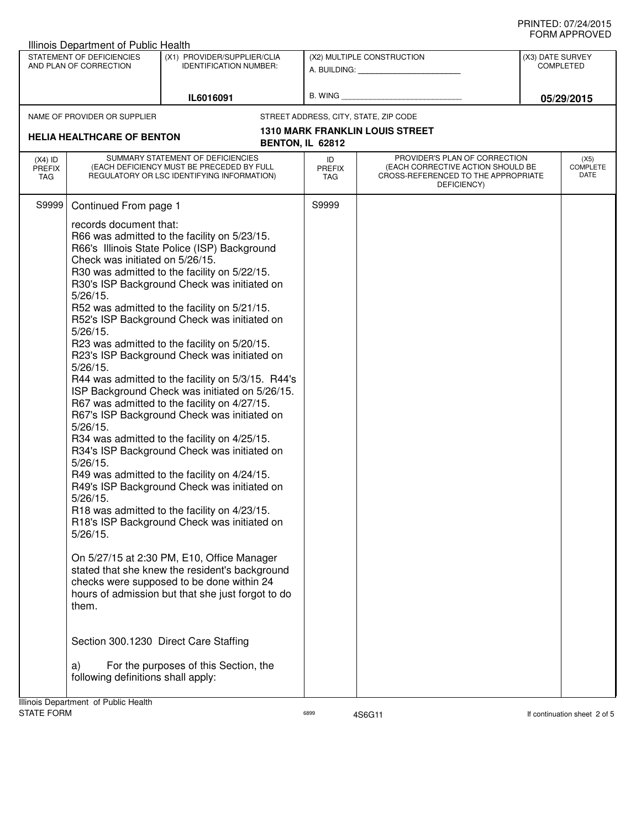| <b>Illinois Department of Public Health</b>                                                                         |                                                                                                                                                |                                                                                                                                                                                                                                                                                                                                                                                                                                                                                                                                                                                                                                                                                                                                                                                                                                                                                                                                                                                                                                                                                                                                                                                                                                                                                                                                                                                                               |                                                         |                                                                                                                          |                                      |  |
|---------------------------------------------------------------------------------------------------------------------|------------------------------------------------------------------------------------------------------------------------------------------------|---------------------------------------------------------------------------------------------------------------------------------------------------------------------------------------------------------------------------------------------------------------------------------------------------------------------------------------------------------------------------------------------------------------------------------------------------------------------------------------------------------------------------------------------------------------------------------------------------------------------------------------------------------------------------------------------------------------------------------------------------------------------------------------------------------------------------------------------------------------------------------------------------------------------------------------------------------------------------------------------------------------------------------------------------------------------------------------------------------------------------------------------------------------------------------------------------------------------------------------------------------------------------------------------------------------------------------------------------------------------------------------------------------------|---------------------------------------------------------|--------------------------------------------------------------------------------------------------------------------------|--------------------------------------|--|
| STATEMENT OF DEFICIENCIES<br>(X1) PROVIDER/SUPPLIER/CLIA<br>AND PLAN OF CORRECTION<br><b>IDENTIFICATION NUMBER:</b> |                                                                                                                                                |                                                                                                                                                                                                                                                                                                                                                                                                                                                                                                                                                                                                                                                                                                                                                                                                                                                                                                                                                                                                                                                                                                                                                                                                                                                                                                                                                                                                               | (X2) MULTIPLE CONSTRUCTION<br>A. BUILDING: A. BUILDING: |                                                                                                                          | (X3) DATE SURVEY<br><b>COMPLETED</b> |  |
|                                                                                                                     |                                                                                                                                                | IL6016091                                                                                                                                                                                                                                                                                                                                                                                                                                                                                                                                                                                                                                                                                                                                                                                                                                                                                                                                                                                                                                                                                                                                                                                                                                                                                                                                                                                                     | B. WING                                                 |                                                                                                                          | 05/29/2015                           |  |
|                                                                                                                     | NAME OF PROVIDER OR SUPPLIER                                                                                                                   |                                                                                                                                                                                                                                                                                                                                                                                                                                                                                                                                                                                                                                                                                                                                                                                                                                                                                                                                                                                                                                                                                                                                                                                                                                                                                                                                                                                                               |                                                         | STREET ADDRESS, CITY, STATE, ZIP CODE                                                                                    |                                      |  |
|                                                                                                                     | <b>HELIA HEALTHCARE OF BENTON</b>                                                                                                              |                                                                                                                                                                                                                                                                                                                                                                                                                                                                                                                                                                                                                                                                                                                                                                                                                                                                                                                                                                                                                                                                                                                                                                                                                                                                                                                                                                                                               |                                                         | <b>1310 MARK FRANKLIN LOUIS STREET</b>                                                                                   |                                      |  |
| $(X4)$ ID<br><b>PREFIX</b><br>TAG                                                                                   |                                                                                                                                                |                                                                                                                                                                                                                                                                                                                                                                                                                                                                                                                                                                                                                                                                                                                                                                                                                                                                                                                                                                                                                                                                                                                                                                                                                                                                                                                                                                                                               | ID<br><b>PREFIX</b><br><b>TAG</b>                       | PROVIDER'S PLAN OF CORRECTION<br>(EACH CORRECTIVE ACTION SHOULD BE<br>CROSS-REFERENCED TO THE APPROPRIATE<br>DEFICIENCY) | (X5)<br><b>COMPLETE</b><br>DATE      |  |
| S9999                                                                                                               | Continued From page 1                                                                                                                          |                                                                                                                                                                                                                                                                                                                                                                                                                                                                                                                                                                                                                                                                                                                                                                                                                                                                                                                                                                                                                                                                                                                                                                                                                                                                                                                                                                                                               | S9999                                                   |                                                                                                                          |                                      |  |
|                                                                                                                     | records document that:<br>$5/26/15$ .<br>$5/26/15$ .<br>$5/26/15$ .<br>$5/26/15$ .<br>$5/26/15$ .<br>$5/26/15$ .<br>$5/26/15$ .<br>them.<br>a) | BENTON, IL 62812<br>SUMMARY STATEMENT OF DEFICIENCIES<br>(EACH DEFICIENCY MUST BE PRECEDED BY FULL<br>REGULATORY OR LSC IDENTIFYING INFORMATION)<br>R66 was admitted to the facility on 5/23/15.<br>R66's Illinois State Police (ISP) Background<br>Check was initiated on 5/26/15.<br>R30 was admitted to the facility on 5/22/15.<br>R30's ISP Background Check was initiated on<br>R52 was admitted to the facility on 5/21/15.<br>R52's ISP Background Check was initiated on<br>R23 was admitted to the facility on 5/20/15.<br>R23's ISP Background Check was initiated on<br>R44 was admitted to the facility on 5/3/15. R44's<br>ISP Background Check was initiated on 5/26/15.<br>R67 was admitted to the facility on 4/27/15.<br>R67's ISP Background Check was initiated on<br>R34 was admitted to the facility on 4/25/15.<br>R34's ISP Background Check was initiated on<br>R49 was admitted to the facility on 4/24/15.<br>R49's ISP Background Check was initiated on<br>R18 was admitted to the facility on 4/23/15.<br>R18's ISP Background Check was initiated on<br>On 5/27/15 at 2:30 PM, E10, Office Manager<br>stated that she knew the resident's background<br>checks were supposed to be done within 24<br>hours of admission but that she just forgot to do<br>Section 300.1230 Direct Care Staffing<br>For the purposes of this Section, the<br>following definitions shall apply: |                                                         |                                                                                                                          |                                      |  |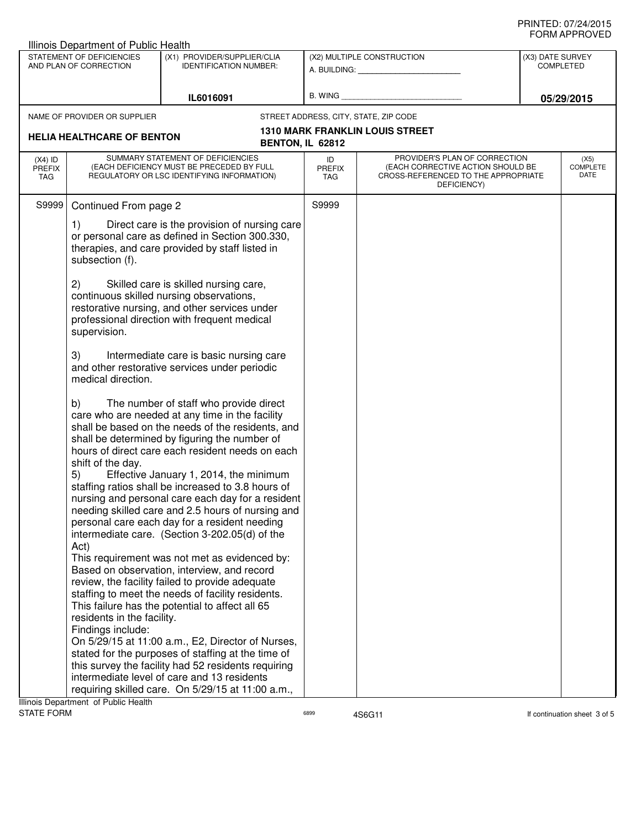| STATEMENT OF DEFICIENCIES<br>AND PLAN OF CORRECTION | (X1) PROVIDER/SUPPLIER/CLIA<br><b>IDENTIFICATION NUMBER:</b> | (X2) MULTIPLE CONSTRUCTION<br>A. BUILDING: A. BUILDING:<br>B. WING                                                                                                                                                                                                                                                                                                                                                                                                                                                                                                                                                                                                                                                                                                                                                                                                                                                                                                                                                                                                                                                                                                                                                                                                                                                                                                                                                                                                                                                                                                                                                                          |                                                                                                                              | (X3) DATE SURVEY<br><b>COMPLETED</b><br>05/29/2015                              |                                                                                                           |
|-----------------------------------------------------|--------------------------------------------------------------|---------------------------------------------------------------------------------------------------------------------------------------------------------------------------------------------------------------------------------------------------------------------------------------------------------------------------------------------------------------------------------------------------------------------------------------------------------------------------------------------------------------------------------------------------------------------------------------------------------------------------------------------------------------------------------------------------------------------------------------------------------------------------------------------------------------------------------------------------------------------------------------------------------------------------------------------------------------------------------------------------------------------------------------------------------------------------------------------------------------------------------------------------------------------------------------------------------------------------------------------------------------------------------------------------------------------------------------------------------------------------------------------------------------------------------------------------------------------------------------------------------------------------------------------------------------------------------------------------------------------------------------------|------------------------------------------------------------------------------------------------------------------------------|---------------------------------------------------------------------------------|-----------------------------------------------------------------------------------------------------------|
|                                                     | IL6016091                                                    |                                                                                                                                                                                                                                                                                                                                                                                                                                                                                                                                                                                                                                                                                                                                                                                                                                                                                                                                                                                                                                                                                                                                                                                                                                                                                                                                                                                                                                                                                                                                                                                                                                             |                                                                                                                              |                                                                                 |                                                                                                           |
|                                                     |                                                              |                                                                                                                                                                                                                                                                                                                                                                                                                                                                                                                                                                                                                                                                                                                                                                                                                                                                                                                                                                                                                                                                                                                                                                                                                                                                                                                                                                                                                                                                                                                                                                                                                                             |                                                                                                                              |                                                                                 |                                                                                                           |
|                                                     |                                                              |                                                                                                                                                                                                                                                                                                                                                                                                                                                                                                                                                                                                                                                                                                                                                                                                                                                                                                                                                                                                                                                                                                                                                                                                                                                                                                                                                                                                                                                                                                                                                                                                                                             |                                                                                                                              |                                                                                 |                                                                                                           |
|                                                     |                                                              |                                                                                                                                                                                                                                                                                                                                                                                                                                                                                                                                                                                                                                                                                                                                                                                                                                                                                                                                                                                                                                                                                                                                                                                                                                                                                                                                                                                                                                                                                                                                                                                                                                             |                                                                                                                              |                                                                                 |                                                                                                           |
|                                                     |                                                              | ID<br><b>PREFIX</b><br><b>TAG</b>                                                                                                                                                                                                                                                                                                                                                                                                                                                                                                                                                                                                                                                                                                                                                                                                                                                                                                                                                                                                                                                                                                                                                                                                                                                                                                                                                                                                                                                                                                                                                                                                           | DEFICIENCY)                                                                                                                  |                                                                                 | (X5)<br><b>COMPLETE</b><br>DATE                                                                           |
|                                                     |                                                              | S9999                                                                                                                                                                                                                                                                                                                                                                                                                                                                                                                                                                                                                                                                                                                                                                                                                                                                                                                                                                                                                                                                                                                                                                                                                                                                                                                                                                                                                                                                                                                                                                                                                                       |                                                                                                                              |                                                                                 |                                                                                                           |
| 1)<br>subsection (f).                               |                                                              |                                                                                                                                                                                                                                                                                                                                                                                                                                                                                                                                                                                                                                                                                                                                                                                                                                                                                                                                                                                                                                                                                                                                                                                                                                                                                                                                                                                                                                                                                                                                                                                                                                             |                                                                                                                              |                                                                                 |                                                                                                           |
| 2)<br>supervision.                                  |                                                              |                                                                                                                                                                                                                                                                                                                                                                                                                                                                                                                                                                                                                                                                                                                                                                                                                                                                                                                                                                                                                                                                                                                                                                                                                                                                                                                                                                                                                                                                                                                                                                                                                                             |                                                                                                                              |                                                                                 |                                                                                                           |
| 3)<br>medical direction.                            |                                                              |                                                                                                                                                                                                                                                                                                                                                                                                                                                                                                                                                                                                                                                                                                                                                                                                                                                                                                                                                                                                                                                                                                                                                                                                                                                                                                                                                                                                                                                                                                                                                                                                                                             |                                                                                                                              |                                                                                 |                                                                                                           |
| b)<br>shift of the day.<br>5)<br>Act)               |                                                              |                                                                                                                                                                                                                                                                                                                                                                                                                                                                                                                                                                                                                                                                                                                                                                                                                                                                                                                                                                                                                                                                                                                                                                                                                                                                                                                                                                                                                                                                                                                                                                                                                                             |                                                                                                                              |                                                                                 |                                                                                                           |
| Findings include:                                   |                                                              |                                                                                                                                                                                                                                                                                                                                                                                                                                                                                                                                                                                                                                                                                                                                                                                                                                                                                                                                                                                                                                                                                                                                                                                                                                                                                                                                                                                                                                                                                                                                                                                                                                             |                                                                                                                              |                                                                                 |                                                                                                           |
|                                                     | S9999                                                        | NAME OF PROVIDER OR SUPPLIER<br><b>HELIA HEALTHCARE OF BENTON</b><br>SUMMARY STATEMENT OF DEFICIENCIES<br>(EACH DEFICIENCY MUST BE PRECEDED BY FULL<br>REGULATORY OR LSC IDENTIFYING INFORMATION)<br>Continued From page 2<br>or personal care as defined in Section 300.330,<br>therapies, and care provided by staff listed in<br>Skilled care is skilled nursing care,<br>continuous skilled nursing observations,<br>restorative nursing, and other services under<br>professional direction with frequent medical<br>Intermediate care is basic nursing care<br>and other restorative services under periodic<br>The number of staff who provide direct<br>care who are needed at any time in the facility<br>shall be based on the needs of the residents, and<br>shall be determined by figuring the number of<br>hours of direct care each resident needs on each<br>Effective January 1, 2014, the minimum<br>staffing ratios shall be increased to 3.8 hours of<br>needing skilled care and 2.5 hours of nursing and<br>personal care each day for a resident needing<br>intermediate care. (Section 3-202.05(d) of the<br>This requirement was not met as evidenced by:<br>Based on observation, interview, and record<br>review, the facility failed to provide adequate<br>staffing to meet the needs of facility residents.<br>This failure has the potential to affect all 65<br>residents in the facility.<br>On 5/29/15 at 11:00 a.m., E2, Director of Nurses,<br>stated for the purposes of staffing at the time of<br>this survey the facility had 52 residents requiring<br>intermediate level of care and 13 residents | <b>BENTON, IL 62812</b><br>Direct care is the provision of nursing care<br>nursing and personal care each day for a resident | STREET ADDRESS, CITY, STATE, ZIP CODE<br><b>1310 MARK FRANKLIN LOUIS STREET</b> | PROVIDER'S PLAN OF CORRECTION<br>(EACH CORRECTIVE ACTION SHOULD BE<br>CROSS-REFERENCED TO THE APPROPRIATE |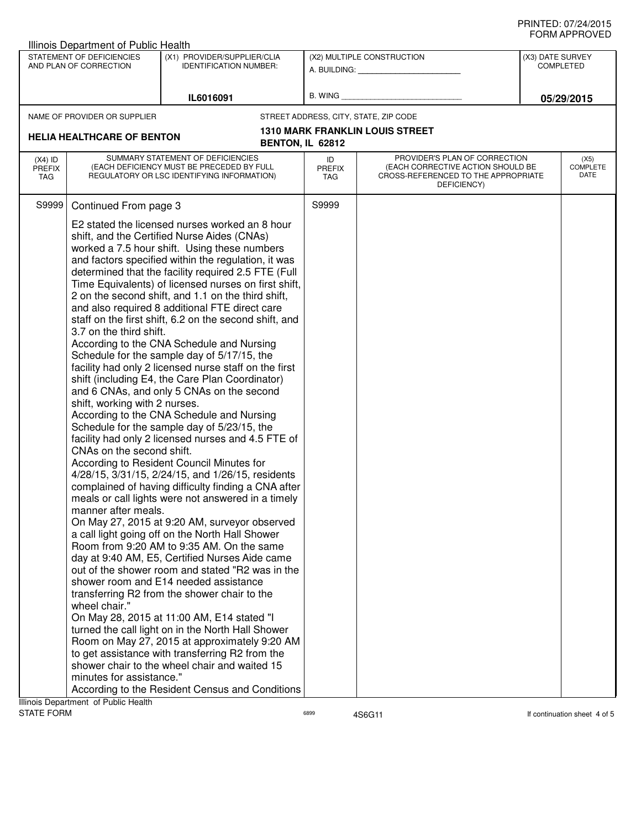|                   | <b>Illinois Department of Public Health</b> |                                                                                                          |                  |                                                    |                  |                              |
|-------------------|---------------------------------------------|----------------------------------------------------------------------------------------------------------|------------------|----------------------------------------------------|------------------|------------------------------|
|                   | STATEMENT OF DEFICIENCIES                   | (X1) PROVIDER/SUPPLIER/CLIA                                                                              |                  | (X2) MULTIPLE CONSTRUCTION                         | (X3) DATE SURVEY |                              |
|                   | AND PLAN OF CORRECTION                      | <b>IDENTIFICATION NUMBER:</b>                                                                            |                  | A. BUILDING: A. BUILDING:                          |                  | <b>COMPLETED</b>             |
|                   |                                             |                                                                                                          |                  |                                                    |                  |                              |
|                   |                                             | IL6016091                                                                                                | B. WING          |                                                    |                  | 05/29/2015                   |
|                   | NAME OF PROVIDER OR SUPPLIER                |                                                                                                          |                  | STREET ADDRESS, CITY, STATE, ZIP CODE              |                  |                              |
|                   |                                             |                                                                                                          |                  | <b>1310 MARK FRANKLIN LOUIS STREET</b>             |                  |                              |
|                   | <b>HELIA HEALTHCARE OF BENTON</b>           |                                                                                                          | BENTON, IL 62812 |                                                    |                  |                              |
| $(X4)$ ID         |                                             | SUMMARY STATEMENT OF DEFICIENCIES                                                                        | ID               | PROVIDER'S PLAN OF CORRECTION                      |                  | (X5)                         |
| PREFIX            |                                             | (EACH DEFICIENCY MUST BE PRECEDED BY FULL                                                                | <b>PREFIX</b>    | (EACH CORRECTIVE ACTION SHOULD BE                  |                  | <b>COMPLETE</b>              |
| TAG               |                                             | REGULATORY OR LSC IDENTIFYING INFORMATION)                                                               | TAG              | CROSS-REFERENCED TO THE APPROPRIATE<br>DEFICIENCY) |                  | DATE                         |
|                   |                                             |                                                                                                          |                  |                                                    |                  |                              |
| S9999             | Continued From page 3                       |                                                                                                          | S9999            |                                                    |                  |                              |
|                   |                                             | E2 stated the licensed nurses worked an 8 hour                                                           |                  |                                                    |                  |                              |
|                   |                                             | shift, and the Certified Nurse Aides (CNAs)                                                              |                  |                                                    |                  |                              |
|                   |                                             | worked a 7.5 hour shift. Using these numbers                                                             |                  |                                                    |                  |                              |
|                   |                                             | and factors specified within the regulation, it was                                                      |                  |                                                    |                  |                              |
|                   |                                             | determined that the facility required 2.5 FTE (Full                                                      |                  |                                                    |                  |                              |
|                   |                                             | Time Equivalents) of licensed nurses on first shift,                                                     |                  |                                                    |                  |                              |
|                   |                                             | 2 on the second shift, and 1.1 on the third shift,                                                       |                  |                                                    |                  |                              |
|                   |                                             | and also required 8 additional FTE direct care<br>staff on the first shift, 6.2 on the second shift, and |                  |                                                    |                  |                              |
|                   | 3.7 on the third shift.                     |                                                                                                          |                  |                                                    |                  |                              |
|                   |                                             | According to the CNA Schedule and Nursing                                                                |                  |                                                    |                  |                              |
|                   |                                             | Schedule for the sample day of 5/17/15, the                                                              |                  |                                                    |                  |                              |
|                   |                                             | facility had only 2 licensed nurse staff on the first                                                    |                  |                                                    |                  |                              |
|                   |                                             | shift (including E4, the Care Plan Coordinator)                                                          |                  |                                                    |                  |                              |
|                   |                                             | and 6 CNAs, and only 5 CNAs on the second                                                                |                  |                                                    |                  |                              |
|                   | shift, working with 2 nurses.               |                                                                                                          |                  |                                                    |                  |                              |
|                   |                                             | According to the CNA Schedule and Nursing                                                                |                  |                                                    |                  |                              |
|                   |                                             | Schedule for the sample day of 5/23/15, the<br>facility had only 2 licensed nurses and 4.5 FTE of        |                  |                                                    |                  |                              |
|                   | CNAs on the second shift.                   |                                                                                                          |                  |                                                    |                  |                              |
|                   |                                             | According to Resident Council Minutes for                                                                |                  |                                                    |                  |                              |
|                   |                                             | 4/28/15, 3/31/15, 2/24/15, and 1/26/15, residents                                                        |                  |                                                    |                  |                              |
|                   |                                             | complained of having difficulty finding a CNA after                                                      |                  |                                                    |                  |                              |
|                   |                                             | meals or call lights were not answered in a timely                                                       |                  |                                                    |                  |                              |
|                   | manner after meals.                         |                                                                                                          |                  |                                                    |                  |                              |
|                   |                                             | On May 27, 2015 at 9:20 AM, surveyor observed                                                            |                  |                                                    |                  |                              |
|                   |                                             | a call light going off on the North Hall Shower                                                          |                  |                                                    |                  |                              |
|                   |                                             | Room from 9:20 AM to 9:35 AM. On the same                                                                |                  |                                                    |                  |                              |
|                   |                                             | day at 9:40 AM, E5, Certified Nurses Aide came                                                           |                  |                                                    |                  |                              |
|                   |                                             | out of the shower room and stated "R2 was in the<br>shower room and E14 needed assistance                |                  |                                                    |                  |                              |
|                   |                                             | transferring R2 from the shower chair to the                                                             |                  |                                                    |                  |                              |
|                   | wheel chair."                               |                                                                                                          |                  |                                                    |                  |                              |
|                   |                                             | On May 28, 2015 at 11:00 AM, E14 stated "I                                                               |                  |                                                    |                  |                              |
|                   |                                             | turned the call light on in the North Hall Shower                                                        |                  |                                                    |                  |                              |
|                   |                                             | Room on May 27, 2015 at approximately 9:20 AM                                                            |                  |                                                    |                  |                              |
|                   |                                             | to get assistance with transferring R2 from the                                                          |                  |                                                    |                  |                              |
|                   |                                             | shower chair to the wheel chair and waited 15                                                            |                  |                                                    |                  |                              |
|                   | minutes for assistance."                    |                                                                                                          |                  |                                                    |                  |                              |
|                   |                                             | According to the Resident Census and Conditions                                                          |                  |                                                    |                  |                              |
|                   | Illinois Department of Public Health        |                                                                                                          |                  |                                                    |                  |                              |
| <b>STATE FORM</b> |                                             |                                                                                                          | 6899             | 4S6G11                                             |                  | If continuation sheet 4 of 5 |